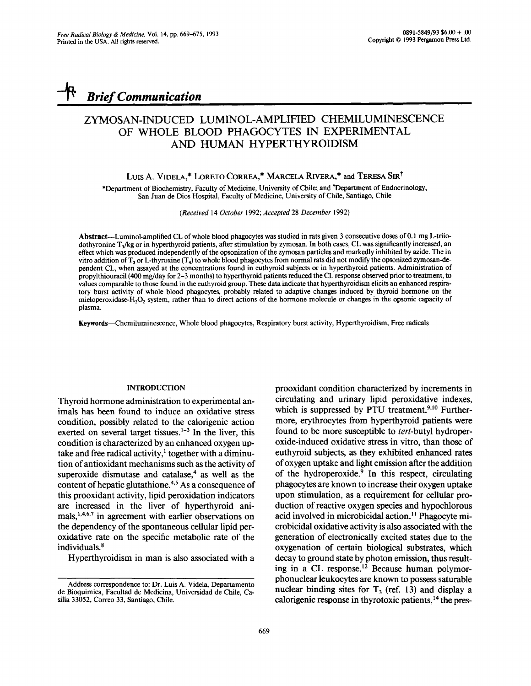*Brief Communication* 

# ZYMOSAN-INDUCED LUMINOL-AMPLIFIED CHEMILUMINESCENCE OF WHOLE BLOOD PHAGOCYTES IN EXPERIMENTAL AND HUMAN HYPERTHYROIDISM

### LUIS A. VIDELA,\* LORETO CORREA,\* MARCELA RIVERA,\* and TERESA SIR<sup>†</sup>

\*Department of Biochemistry, Faculty of Medicine, University of Chile; and \*Department of Endocrinology, San Juan de Dios Hospital, Faculty of Medicine, University of Chile, Santiago, Chile

*(Received* 14 *October* 1992; *Accepted* 28 *December* 1992)

Abstract--Luminol-amplified CL of whole blood phagocytes was studied in rats given 3 consecutive doses of 0.1 mg L-triiodothyronine T<sub>3</sub>/kg or in hyperthyroid patients, after stimulation by zymosan. In both cases, CL was significantly increased, an effect which was produced independently of the opsonization of the zymosan particles and markedly inhibited by azide. The in vitro addition of  $T_3$  or L-thyroxine ( $T_4$ ) to whole blood phagocytes from normal rats did not modify the opsonized zymosan-dependent CL, when assayed at the concentrations found in euthyroid subjects or in hyperthyroid patients. Administration of propylthiouracil (400 mg/day for 2-3 months) to hyperthyroid patients reduced the CL response observed prior to treatment, to values comparable to those found in the euthyroid group. These data indicate that hyperthyroidism elicits an enhanced respiratory burst activity of whole blood phagocytes, probably related to adaptive changes induced by thyroid hormone on the mieloperoxidase-H<sub>2</sub>O<sub>2</sub> system, rather than to direct actions of the hormone molecule or changes in the opsonic capacity of plasma.

Keywords--Chemiluminescence, Whole blood phagocytes, Respiratory burst activity, Hyperthyroidism, Free radicals

# INTRODUCTION

Thyroid hormone administration to experimental animals has been found to induce an oxidative stress condition, possibly related to the calorigenic action exerted on several target tissues.<sup>1-3</sup> In the liver, this condition is characterized by an enhanced oxygen uptake and free radical activity, $\frac{1}{x}$  together with a diminution of antioxidant mechanisms such as the activity of superoxide dismutase and catalase, $4$  as well as the content of hepatic glutathione.<sup>4,5</sup> As a consequence of this prooxidant activity, lipid peroxidation indicators are increased in the liver of hyperthyroid animals,  $1,4,6,7$  in agreement with earlier observations on the dependency of the spontaneous cellular lipid peroxidative rate on the specific metabolic rate of the individuals.<sup>8</sup>

Hyperthyroidism in man is also associated with a

prooxidant condition characterized by increments in circulating and urinary lipid peroxidative indexes, which is suppressed by PTU treatment.<sup>9,10</sup> Furthermore, erythrocytes from hyperthyroid patients were found to be more susceptible to *tert-butyl* hydroperoxide-induced oxidative stress in vitro, than those of euthyroid subjects, as they exhibited enhanced rates of oxygen uptake and light emission after the addition of the hydroperoxide. $9$  In this respect, circulating phagocytes are known to increase their oxygen uptake upon stimulation, as a requirement for cellular production of reactive oxygen species and hypochlorous acid involved in microbicidal action.<sup>11</sup> Phagocyte microbicidal oxidative activity is also associated with the generation of electronically excited states due to the oxygenation of certain biological substrates, which decay to ground state by photon emission, thus resulting in a CL response.<sup>12</sup> Because human polymorphonuclear leukocytes are known to possess saturable nuclear binding sites for  $T<sub>3</sub>$  (ref. 13) and display a calorigenic response in thyrotoxic patients, 14 the pres-

Address correspondence to: Dr. Luis A. Videla, Departamento de Bioquimica, Facultad de Medicina, Universidad de Chile, Casilla 33052, Correo 33, Santiago, Chile.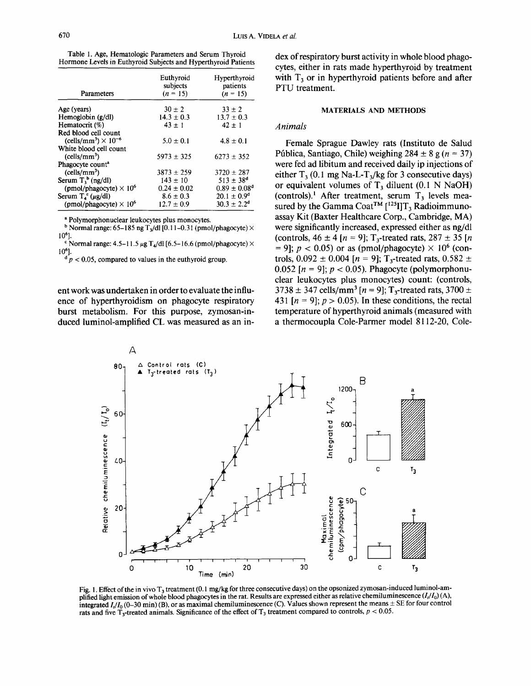| Table 1. Age, Hematologic Parameters and Serum Thyroid         |  |  |  |
|----------------------------------------------------------------|--|--|--|
| Hormone Levels in Euthyroid Subjects and Hyperthyroid Patients |  |  |  |

| Parameters                                         | Euthyroid<br>subjects<br>$(n = 15)$ | Hyperthyroid<br>patients<br>$(n = 15)$ |
|----------------------------------------------------|-------------------------------------|----------------------------------------|
| Age (years)                                        | $30 \pm 2$                          | $33 + 2$                               |
| Hemoglobin (g/dl)                                  | $14.3 \pm 0.3$                      | $13.7 \pm 0.3$                         |
| Hematocrit (%)                                     | $43 + 1$                            | $42 \pm 1$                             |
| Red blood cell count                               |                                     |                                        |
| (cells/mm <sup>3</sup> ) $\times$ 10 <sup>-6</sup> | $5.0 \pm 0.1$                       | $4.8 \pm 0.1$                          |
| White blood cell count                             |                                     |                                        |
| (cells/mm <sup>3</sup> )                           | $5973 + 325$                        | $6273 + 352$                           |
| Phagocyte count <sup>a</sup>                       |                                     |                                        |
| (cells/mm <sup>3</sup> )                           | $3873 \pm 259$                      | $3720 \pm 287$                         |
| Serum $T_1^b$ (ng/dl)                              | $143 \pm 10$                        | $513 \pm 38^{\circ}$                   |
| (pmol/phagocyte) $\times 10^6$                     | $0.24 \pm 0.02$                     | $0.89 \pm 0.08$ <sup>d</sup>           |
| Serum $T_4^c(\mu g/dl)$                            | $8.6 \pm 0.3$                       | $20.1 \pm 0.9^d$                       |
| (pmol/phagocyte) $\times 10^6$                     | $12.7 \pm 0.9$                      | $30.3 + 2.2d$                          |

a Polymorphonuclear leukocytes plus monocytes.

<sup>b</sup> Normal range: 65-185 ng T<sub>3</sub>/dl [0.11-0.31 (pmol/phagocyte)  $\times$ 106].

 $\sim$  Normal range: 4.5-11.5  $\mu$ g T<sub>4</sub>/dl [6.5-16.6 (pmol/phagocyte)  $\times$ 106].

 $\sigma$   $p$  < 0.05, compared to values in the euthyroid group.

ent work was undertaken in order to evaluate the influence of hyperthyroidism on phagocyte respiratory burst metabolism. For this purpose, zymosan-induced luminol-amplified CL was measured as an in-

# MATERIALS AND METHODS

#### *Animals*

Female Sprague Dawley rats (Instituto de Salud Pública, Santiago, Chile) weighing  $284 \pm 8$  g (n = 37) were fed ad libitum and received daily ip injections of either  $T_3$  (0.1 mg Na-L-T<sub>3</sub>/kg for 3 consecutive days) or equivalent volumes of  $T_3$  diluent (0.1 N NaOH) (controls).<sup>1</sup> After treatment, serum  $T_3$  levels measured by the Gamma Coat<sup>TM</sup>  $[$ <sup>125</sup>I]T<sub>3</sub> Radioimmunoassay Kit (Baxter Healthcare Corp., Cambridge, MA) were significantly increased, expressed either as ng/dl (controls,  $46 \pm 4$  [n = 9]; T<sub>3</sub>-treated rats,  $287 \pm 35$  [n = 9];  $p < 0.05$ ) or as (pmol/phagocyte)  $\times 10^6$  (controls,  $0.092 \pm 0.004$  [n = 9]; T<sub>3</sub>-treated rats,  $0.582 \pm$ 0.052 [ $n = 9$ ];  $p < 0.05$ ). Phagocyte (polymorphonuclear leukocytes plus monocytes) count: (controls,  $3738 \pm 347$  cells/mm<sup>3</sup> [n = 9]; T<sub>3</sub>-treated rats, 3700  $\pm$ 431 [ $n = 9$ ];  $p > 0.05$ ). In these conditions, the rectal temperature of hyperthyroid animals (measured with a thermocoupla Cole-Parmer model 8112-20, Cole-



Fig. 1. Effect of the in vivo T<sub>3</sub> treatment (0.1 mg/kg for three consecutive days) on the opsonized zymosan-induced luminol-amplified light emission of whole blood phagocytes in the rat. Results are expressed either as relative chemiluminescence  $(I_t/I_0)(A)$ , integrated  $I_1/I_0$  (0-30 min) (B), or as maximal chemiluminescence (C). Values shown represent the means  $\pm$  SE for four control rats and five  $T_3$ -treated animals. Significance of the effect of  $T_3$  treatment compared to controls,  $p < 0.05$ .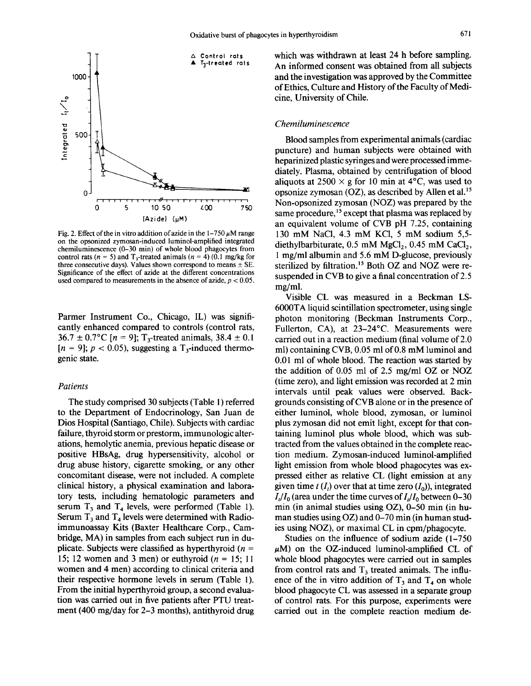

Fig. 2. Effect of the in vitro addition of azide in the  $1-750 \mu M$  range on the opsonized zymosan-induced luminol-amplified integrated chemiluminescence (0-30 min) of whole blood phagocytes from control rats ( $n = 5$ ) and T<sub>3</sub>-treated animals ( $n = 4$ ) (0.1 mg/kg for three consecutive days). Values shown correspond to means  $\pm$  SE. Significance of the effect of azide at the different concentrations used compared to measurements in the absence of azide,  $p < 0.05$ .

Parmer Instrument Co., Chicago, IL) was significantly enhanced compared to controls (control rats,  $36.7 \pm 0.7$ °C [n = 9]; T<sub>3</sub>-treated animals,  $38.4 \pm 0.1$  $[n = 9]$ ;  $p < 0.05$ ), suggesting a T<sub>3</sub>-induced thermogenie state.

## *Patients*

The study comprised 30 subjects (Table 1) referred to the Department of Endocrinology, San Juan de Dios Hospital (Santiago, Chile). Subjects with cardiac failure, thyroid storm or prestorm, immunologic alterations, hemolytic anemia, previous hepatic disease or positive HBsAg, drug hypersensitivity, alcohol or drug abuse history, cigarette smoking, or any other concomitant disease, were not included. A complete clinical history, a physical examination and laboratory tests, including hematologic parameters and serum  $T_3$  and  $T_4$  levels, were performed (Table 1). Serum  $T_3$  and  $T_4$  levels were determined with Radioimmunoassay Kits (Baxter Healthcare Corp., Cambridge, MA) in samples from each subject run in duplicate. Subjects were classified as hyperthyroid ( $n =$ 15; 12 women and 3 men) or euthyroid ( $n = 15$ ; 11 women and 4 men) according to clinical criteria and their respective hormone levels in serum (Table 1). From the initial hyperthyroid group, a second evaluation was carried out in five patients after PTU treatment (400 mg/day for 2-3 months), antithyroid drug

which was withdrawn at least 24 h before sampling. An informed consent was obtained from all subjects and the investigation was approved by the Committee of Ethics, Culture and History of the Faculty of Medicine, University of Chile.

# *Chemiluminescence*

Blood samples from experimental animals (cardiac puncture) and human subjects were obtained with heparinized plastic syringes and were processed immediately. Plasma, obtained by centrifugation of blood aliquots at  $2500 \times g$  for 10 min at 4°C, was used to opsonize zymosan  $(OZ)$ , as described by Allen et al.<sup>15</sup> Non-opsonized zymosan (NOZ) was prepared by the same procedure,<sup>15</sup> except that plasma was replaced by an equivalent volume of CVB pH 7.25, containing 130 mM NaCI, 4.3 mM KC1, 5 mM sodium 5,5 diethylbarbiturate,  $0.5$  mM MgCl<sub>2</sub>,  $0.45$  mM CaCl<sub>2</sub>, 1 mg/ml albumin and 5.6 mM D-glucose, previously sterilized by filtration.<sup>15</sup> Both OZ and NOZ were resuspended in CVB to give a final concentration of 2.5 mg/ml.

Visible CL was measured in a Beckman LS-6000TA liquid scintillation spectrometer, using single photon monitoring (Beckman Instruments Corp., Fullerton, CA), at 23-24°C. Measurements were carried out in a reaction medium (final volume of 2.0 ml) containing CVB, 0.05 ml of 0.8 mM luminol and 0.01 ml of whole blood. The reaction was started by the addition of 0.05 ml of 2.5 mg/ml OZ or NOZ (time zero), and light emission was recorded at 2 min intervals until peak values were observed. Backgrounds consisting of CVB alone or in the presence of either luminol, whole blood, zymosan, or luminol plus zymosan did not emit light, except for that containing luminol plus whole blood, which was subtracted from the values obtained in the complete reaction medium. Zymosan-induced luminol-amplified light emission from whole blood phagocytes was expressed either as relative CL (light emission at any given time  $t(I_t)$  over that at time zero  $(I_0)$ , integrated  $I_t/I_0$  (area under the time curves of  $I_t/I_0$  between 0-30 min (in animal studies using OZ), 0-50 min (in human studies using  $OZ$ ) and 0-70 min (in human studies using NOZ), or maximal CL in cpm/phagocyte.

Studies on the influence of sodium azide (1-750  $\mu$ M) on the OZ-induced luminol-amplified CL of whole blood phagocytes were carried out in samples from control rats and  $T<sub>3</sub>$  treated animals. The influence of the in vitro addition of  $T_3$  and  $T_4$  on whole blood phagocyte CL was assessed in a separate group of control rats. For this purpose, experiments were carried out in the complete reaction medium de-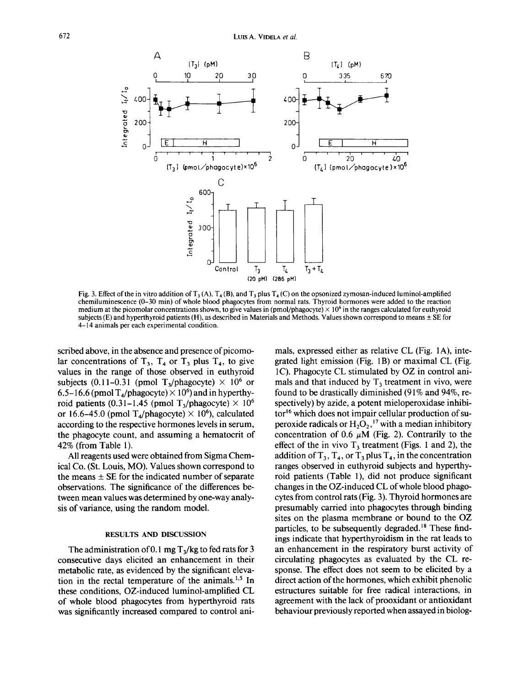

Fig. 3. Effect of the in vitro addition of  $T_3(A)$ ,  $T_4(B)$ , and  $T_3$  plus  $T_4(C)$  on the opsonized zymosan-induced luminol-amplified chemiluminescence (0-30 min) of whole blood phagocytes from normal rats. Thyroid hormones were added to the reaction medium at the picomolar concentrations shown, to give values in (pmol/phagocyte)  $\times$  10<sup>6</sup> in the ranges calculated for euthyroid subjects (E) and hyperthyroid patients (H), as described in Materials and Methods. Values shown correspond to means  $\pm$  SE for 4-14 animals per each experimental condition.

scribed above, in the absence and presence of picomolar concentrations of  $T_3$ ,  $T_4$  or  $T_3$  plus  $T_4$ , to give values in the range of those observed in euthyroid subjects (0.11-0.31 (pmol T<sub>3</sub>/phagocyte)  $\times$  10<sup>6</sup> or 6.5-16.6 (pmol  $T_{4}/$ phagocyte)  $\times$  10<sup>6</sup>) and in hyperthyroid patients (0.31–1.45 (pmol T<sub>3</sub>/phagocyte)  $\times$  10<sup>6</sup> or 16.6–45.0 (pmol T<sub>4</sub>/phagocyte)  $\times$  10<sup>6</sup>), calculated according to the respective hormones levels in serum, the phagocyte count, and assuming a hematocrit of 42% (from Table 1).

All reagents used were obtained from Sigma Chemical Co. (St. Louis, MO). Values shown correspond to the means  $\pm$  SE for the indicated number of separate observations. The significance of the differences between mean values was determined by one-way analysis of variance, using the random model.

## RESULTS AND DISCUSSION

The administration of 0.1 mg  $T_3/kg$  to fed rats for 3 consecutive days elicited an enhancement in their metabolic rate, as evidenced by the significant elevation in the rectal temperature of the animals.<sup>1,5</sup> In these conditions, OZ-induced luminol-amplified CL of whole blood phagocytes from hyperthyroid rats was significantly increased compared to control animals, expressed either as relative CL (Fig. 1A), integrated light emission (Fig. 1B) or maximal CL (Fig. 1C). Phagocyte CL stimulated by OZ in control animals and that induced by  $T_3$  treatment in vivo, were found to be drastically diminished (91% and 94%, respectively) by azide, a potent mieloperoxidase inhibi $tor<sup>16</sup>$  which does not impair cellular production of superoxide radicals or  $H_2O_2$ ,<sup>17</sup> with a median inhibitory concentration of 0.6  $\mu$ M (Fig. 2). Contrarily to the effect of the in vivo  $T_3$  treatment (Figs. 1 and 2), the addition of  $T_3$ ,  $T_4$ , or  $T_3$  plus  $T_4$ , in the concentration ranges observed in euthyroid subjects and hyperthyroid patients (Table 1), did not produce significant changes in the OZ-induced CL of whole blood phagocytes from control rats (Fig. 3). Thyroid hormones are presumably carried into phagocytes through binding sites on the plasma membrane or bound to the OZ particles, to be subsequently degraded.<sup>18</sup> These findings indicate that hyperthyroidism in the rat leads to an enhancement in the respiratory burst activity of circulating phagocytes as evaluated by the CL response. The effect does not seem to be elicited by a direct action of the hormones, which exhibit phenolic estructures suitable for free radical interactions, in agreement with the lack of prooxidant or antioxidant behaviour previously reported when assayed in biolog-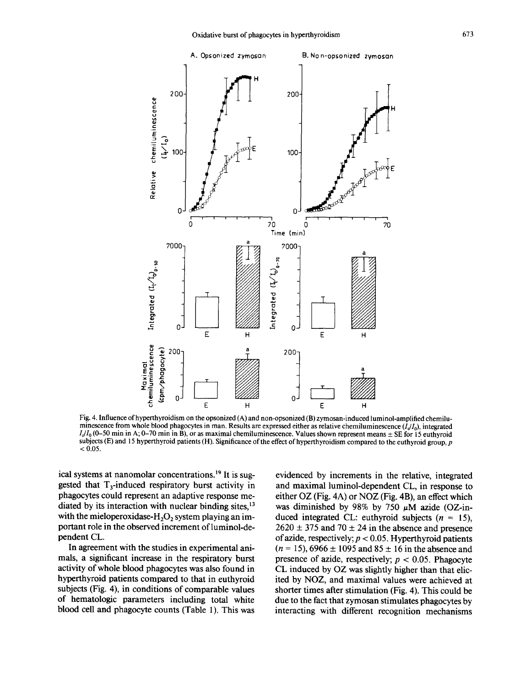

Fig. 4. Influence of hyperthyroidism on the opsonized (A) and non-opsonized (B) zymosan-induced luminol-amplified chemiluminescence from whole blood phagocytes in man. Results are expressed either as relative chemiluminescence  $(I_1/I_0)$ , integrated  $I_1/I_0$  (0-50 min in A; 0-70 min in B), or as maximal chemiluminescence. Values shown represent means  $\pm$  SE for 15 euthyroid subjects (E) and 15 hyperthyroid patients (H). Significance of the effect of hyperthyroidism compared to the euthyroid group,  $p$  $< 0.05$ .

ical systems at nanomolar concentrations. 19 It is suggested that  $T_3$ -induced respiratory burst activity in phagocytes could represent an adaptive response mediated by its interaction with nuclear binding sites.<sup>13</sup> with the mieloperoxidase- $H_2O_2$  system playing an important role in the observed increment of luminol-dependent CL.

In agreement with the studies in experimental animals, a significant increase in the respiratory burst activity of whole blood phagocytes was also found in hyperthyroid patients compared to that in euthyroid subjects (Fig. 4), in conditions of comparable values of hematologic parameters including total white blood cell and phagocyte counts (Table 1). This was

evidenced by increments in the relative, integrated and maximal luminol-dependent CL, in response to either OZ (Fig. 4A) or NOZ (Fig. 4B), an effect which was diminished by 98% by 750  $\mu$ M azide (OZ-induced integrated CL: euthyroid subjects  $(n = 15)$ ,  $2620 \pm 375$  and  $70 \pm 24$  in the absence and presence of azide, respectively;  $p < 0.05$ . Hyperthyroid patients  $(n = 15)$ , 6966  $\pm$  1095 and 85  $\pm$  16 in the absence and presence of azide, respectively;  $p < 0.05$ . Phagocyte CL induced by OZ was slightly higher than that elicited by NOZ, and maximal values were achieved at shorter times after stimulation (Fig. 4). This could be due to the fact that zymosan stimulates phagocytes by interacting with different recognition mechanisms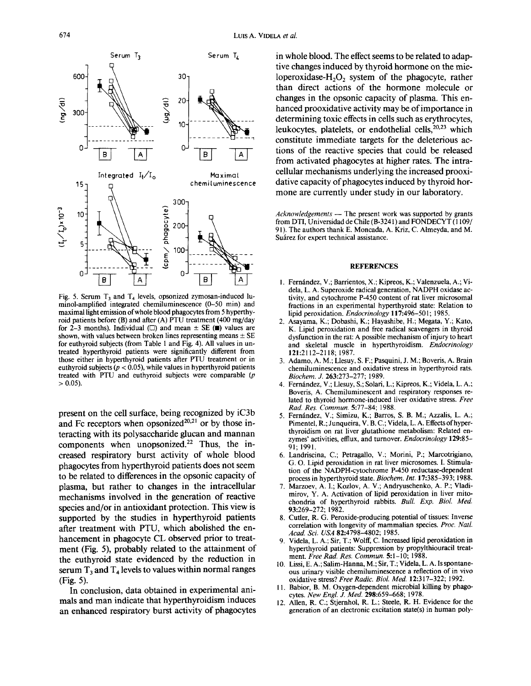

Fig. 5. Serum  $T_3$  and  $T_4$  levels, opsonized zymosan-induced luminol-amplified integrated chemiluminescence (0-50 min) and maximal light emission of whole blood phagocytes from 5 hyperthyroid patients before (B) and after (A) PTU treatment (400 mg/day for 2-3 months). Individual ( $\Box$ ) and mean  $\pm$  SE ( $\blacksquare$ ) values are shown, with values between broken lines representing means  $\pm$  SE for euthyroid subjects (from Table 1 and Fig. 4). All values in untreated hyperthyroid patients were significantly different from those either in hyperthyroid patients after PTU treatment or in euthyroid subjects ( $p < 0.05$ ), while values in hyperthyroid patients treated with PTU and euthyroid subjects were comparable  $(p)$  $> 0.05$ ).

present on the cell surface, being recognized by iC3b and Fc receptors when opsonized $20,21$  or by those interacting with its polysaccharide glucan and mannan components when unopsonized.<sup>22</sup> Thus, the increased respiratory burst activity of whole blood phagocytes from hyperthyroid patients does not seem to be related to differences in the opsonic capacity of plasma, but rather to changes in the intracellular mechanisms involved in the generation of reactive species and/or in antioxidant protection. This view is supported by the studies in hyperthyroid patients after treatment with PTU, which abolished the enhancement in phagocyte CL observed prior to treatment (Fig. 5), probably related to the attainment of the euthyroid state evidenced by the reduction in serum  $T_3$  and  $T_4$  levels to values within normal ranges (Fig. 5).

In conclusion, data obtained in experimental animals and man indicate that hyperthyroidism induces an enhanced respiratory burst activity of phagocytes in whole blood. The effect seems to be related to adaptive changes induced by thyroid hormone on the mieloperoxidase- $H_2O_2$  system of the phagocyte, rather than direct actions of the hormone molecule or changes in the opsonic capacity of plasma. This enhanced prooxidative activity may be of importance in determining toxic effects in cells such as erythrocytes, leukocytes, platelets, or endothelial cells, $20,23$  which constitute immediate targets for the deleterious actions of the reactive species that could be released from activated phagocytes at higher rates. The intracellular mechanisms underlying the increased prooxidative capacity of phagocytes induced by thyroid hormone are currently under study in our laboratory.

*Acknowledgements --* The present work was supported by grants from DTI, Universidad de Chile (B-3241) and FONDECYT ( 1109/ 91). The authors thank E. Moncada, A. Kriz, C. Almeyda, and M. Suárez for expert technical assistance.

#### **REFERENCES**

- 1. Fernández, V.; Barrientos, X.; Kipreos, K.; Valenzuela, A.; Videla, L. A. Superoxide radical generation, NADPH oxidase activity, and cytochrome P-450 content of rat liver microsomal fractions in an experimental hyperthyroid state: Relation to lipid peroxidation. *Endocrinology* 117:496-501; 1985.
- 2. Asayama, K.; Dobashi, K.; Hayashibe, H.; Megata, Y.; Kato, K. Lipid peroxidation and free radical scavengers in thyroid dysfunction in the rat: A possible mechanism of injury to heart and skeletal muscle in hyperthyroidism. *Endocrinology*  121:2112-2118; 1987.
- 3. Adamo, A. M.; Llesuy, S. F.; Pasquini, J. M.; Boveris, A. Brain chemiluminescence and oxidative stress in hyperthyroid rats. *Biochem. J.* 263:273-277; 1989.
- 4. Fernfindez, V.; Llesuy, S.; Solari, L.; Kipreos, K.; Videla, L. A.; Boveris, A. Chemiluminescent and respiratory responses related to thyroid hormone-induced liver oxidative stress. *Free Rad. Res. Commun.* 5:77-84; 1988.
- 5. Fernández, V.; Simizu, K.; Barros, S. B. M.; Azzalis, L. A.; Pimentel, R.; Junqueira, V. B. C.; Videla, L. A. Effects of hyperthyroidism on rat liver glutathione metabolism: Related enzymes' activities, ettlux, and turnover. *Endocrinology* 129:85- 91; 1991.
- 6. Landriscina, C.; Petragallo, V.; Morini, P.; Marcotrigiano, G. O. Lipid peroxidation in rat liver microsomes. I. Stimulation of the NADPH-cytochrome P-450 reductase-dependent process in hyperthyroid state. *Biochem. Int.* 17:385-393; 1988.
- 7. Marzoev, A. I.; Kozlov, A. V.; Andryuschenko, A. P.; Vladimirov, Y. A. Activation of lipid peroxidation in liver mitochondria of hyperthyroid rabbits. *Bull. Exp. BioL Med.*  93:269-272; 1982.
- 8. Cutler, R. G. Peroxide-producing potential of tissues: Inverse correlation with longevity of mammalian species. *Proc. Natl. Acad. Sci. USA* 82:4798-4802; 1985.
- 9. Videla, L. A.; Sir, T.; Wolff, C. Increased lipid peroxidation in hyperthyroid patients: Suppression by propylthiouracil treatment. *Free Rad. Res. Commun.* 5:1-10; 1988.
- 10. Lissi, E. A.; Salim-Hanna, M.; Sir, T.; Videla, L. A. Is spontaneous urinary visible chemiluminescence a reflection of in vivo oxidative stress? *Free Radic. Biol. Med.* 12:317-322; 1992.
- 11. Babior, B. M. Oxygen-dependent microbial killing by phagocytes. *New Engl. J. Med.* 298:659-668; 1978.
- 12. Allen, R. C.; Stjernhol, R. L.; Steele, R. H. Evidence for the generation of an electronic excitation state(s) in human poly-